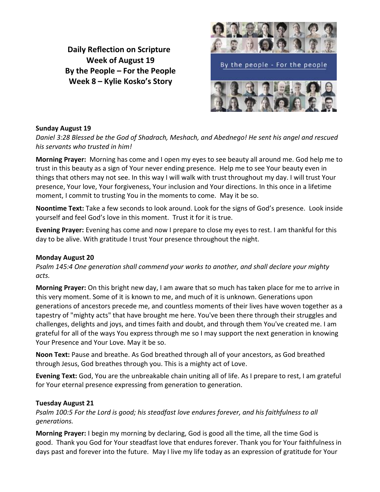**Daily Reflection on Scripture Week of August 19 By the People – For the People Week 8 – Kylie Kosko's Story**



### **Sunday August 19**

*Daniel 3:28 Blessed be the God of Shadrach, Meshach, and Abednego! He sent his angel and rescued his servants who trusted in him!*

**Morning Prayer:** Morning has come and I open my eyes to see beauty all around me. God help me to trust in this beauty as a sign of Your never ending presence. Help me to see Your beauty even in things that others may not see. In this way I will walk with trust throughout my day. I will trust Your presence, Your love, Your forgiveness, Your inclusion and Your directions. In this once in a lifetime moment, I commit to trusting You in the moments to come. May it be so.

**Noontime Text:** Take a few seconds to look around. Look for the signs of God's presence. Look inside yourself and feel God's love in this moment. Trust it for it is true.

**Evening Prayer:** Evening has come and now I prepare to close my eyes to rest. I am thankful for this day to be alive. With gratitude I trust Your presence throughout the night.

#### **Monday August 20**

*Psalm 145:4 One generation shall commend your works to another, and shall declare your mighty acts.*

**Morning Prayer:** On this bright new day, I am aware that so much has taken place for me to arrive in this very moment. Some of it is known to me, and much of it is unknown. Generations upon generations of ancestors precede me, and countless moments of their lives have woven together as a tapestry of "mighty acts" that have brought me here. You've been there through their struggles and challenges, delights and joys, and times faith and doubt, and through them You've created me. I am grateful for all of the ways You express through me so I may support the next generation in knowing Your Presence and Your Love. May it be so.

**Noon Text:** Pause and breathe. As God breathed through all of your ancestors, as God breathed through Jesus, God breathes through you. This is a mighty act of Love.

**Evening Text:** God, You are the unbreakable chain uniting all of life. As I prepare to rest, I am grateful for Your eternal presence expressing from generation to generation.

# **Tuesday August 21**

*Psalm 100:5 For the Lord is good; his steadfast love endures forever, and his faithfulness to all generations.*

**Morning Prayer:** I begin my morning by declaring, God is good all the time, all the time God is good. Thank you God for Your steadfast love that endures forever. Thank you for Your faithfulness in days past and forever into the future. May I live my life today as an expression of gratitude for Your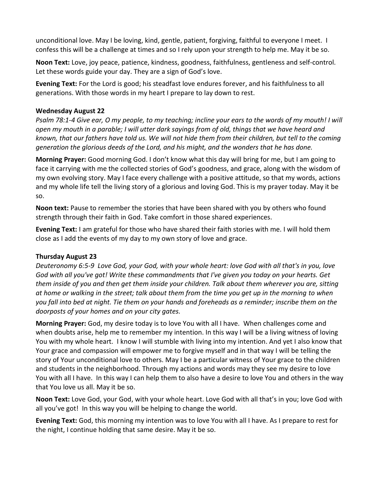unconditional love. May I be loving, kind, gentle, patient, forgiving, faithful to everyone I meet. I confess this will be a challenge at times and so I rely upon your strength to help me. May it be so.

**Noon Text:** Love, joy peace, patience, kindness, goodness, faithfulness, gentleness and self-control. Let these words guide your day. They are a sign of God's love.

**Evening Text:** For the Lord is good; his steadfast love endures forever, and his faithfulness to all generations. With those words in my heart I prepare to lay down to rest.

# **Wednesday August 22**

*Psalm 78:1-4 Give ear, O my people, to my teaching; incline your ears to the words of my mouth! I will open my mouth in a parable; I will utter dark sayings from of old, things that we have heard and known, that our fathers have told us. We will not hide them from their children, but tell to the coming generation the glorious deeds of the Lord, and his might, and the wonders that he has done.*

**Morning Prayer:** Good morning God. I don't know what this day will bring for me, but I am going to face it carrying with me the collected stories of God's goodness, and grace, along with the wisdom of my own evolving story. May I face every challenge with a positive attitude, so that my words, actions and my whole life tell the living story of a glorious and loving God. This is my prayer today. May it be so.

**Noon text:** Pause to remember the stories that have been shared with you by others who found strength through their faith in God. Take comfort in those shared experiences.

**Evening Text:** I am grateful for those who have shared their faith stories with me. I will hold them close as I add the events of my day to my own story of love and grace.

# **Thursday August 23**

*Deuteronomy 6:5-9 Love God, your God, with your whole heart: love God with all that's in you, love God with all you've got! Write these commandments that I've given you today on your hearts. Get them inside of you and then get them inside your children. Talk about them wherever you are, sitting at home or walking in the street; talk about them from the time you get up in the morning to when you fall into bed at night. Tie them on your hands and foreheads as a reminder; inscribe them on the doorposts of your homes and on your city gates.*

**Morning Prayer:** God, my desire today is to love You with all I have. When challenges come and when doubts arise, help me to remember my intention. In this way I will be a living witness of loving You with my whole heart. I know I will stumble with living into my intention. And yet I also know that Your grace and compassion will empower me to forgive myself and in that way I will be telling the story of Your unconditional love to others. May I be a particular witness of Your grace to the children and students in the neighborhood. Through my actions and words may they see my desire to love You with all I have. In this way I can help them to also have a desire to love You and others in the way that You love us all. May it be so.

**Noon Text:** Love God, your God, with your whole heart. Love God with all that's in you; love God with all you've got! In this way you will be helping to change the world.

**Evening Text:** God, this morning my intention was to love You with all I have. As I prepare to rest for the night, I continue holding that same desire. May it be so.